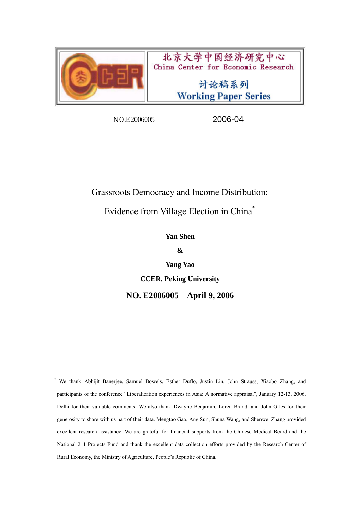

 $\overline{a}$ 

北京大学中国经济研究中心 China Center for Economic Research

> 讨论稿系列 **Working Paper Series**

NO.E2006005 2006-04

Grassroots Democracy and Income Distribution:

Evidence from Village Election in China\*

**Yan Shen** 

**&** 

**Yang Yao** 

**CCER, Peking University** 

**NO. E2006005 April 9, 2006** 

<sup>\*</sup> We thank Abhijit Banerjee, Samuel Bowels, Esther Duflo, Justin Lin, John Strauss, Xiaobo Zhang, and participants of the conference "Liberalization experiences in Asia: A normative appraisal", January 12-13, 2006, Delhi for their valuable comments. We also thank Dwayne Benjamin, Loren Brandt and John Giles for their generosity to share with us part of their data. Mengtao Gao, Ang Sun, Shuna Wang, and Shenwei Zhang provided excellent research assistance. We are grateful for financial supports from the Chinese Medical Board and the National 211 Projects Fund and thank the excellent data collection efforts provided by the Research Center of Rural Economy, the Ministry of Agriculture, People's Republic of China.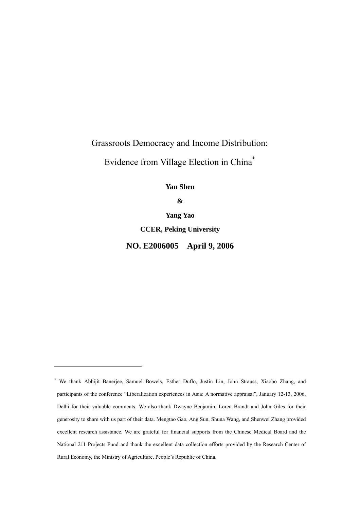# Grassroots Democracy and Income Distribution:

Evidence from Village Election in China\*

**Yan Shen** 

**&** 

**Yang Yao CCER, Peking University NO. E2006005 April 9, 2006** 

 $\overline{a}$ 

<sup>\*</sup> We thank Abhijit Banerjee, Samuel Bowels, Esther Duflo, Justin Lin, John Strauss, Xiaobo Zhang, and participants of the conference "Liberalization experiences in Asia: A normative appraisal", January 12-13, 2006, Delhi for their valuable comments. We also thank Dwayne Benjamin, Loren Brandt and John Giles for their generosity to share with us part of their data. Mengtao Gao, Ang Sun, Shuna Wang, and Shenwei Zhang provided excellent research assistance. We are grateful for financial supports from the Chinese Medical Board and the National 211 Projects Fund and thank the excellent data collection efforts provided by the Research Center of Rural Economy, the Ministry of Agriculture, People's Republic of China.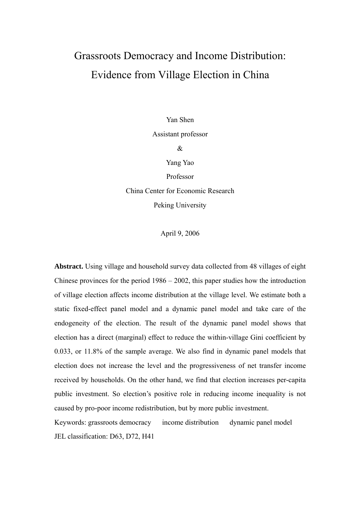# Grassroots Democracy and Income Distribution: Evidence from Village Election in China

Yan Shen

Assistant professor

&

Yang Yao

Professor

China Center for Economic Research Peking University

April 9, 2006

**Abstract.** Using village and household survey data collected from 48 villages of eight Chinese provinces for the period 1986 – 2002, this paper studies how the introduction of village election affects income distribution at the village level. We estimate both a static fixed-effect panel model and a dynamic panel model and take care of the endogeneity of the election. The result of the dynamic panel model shows that election has a direct (marginal) effect to reduce the within-village Gini coefficient by 0.033, or 11.8% of the sample average. We also find in dynamic panel models that election does not increase the level and the progressiveness of net transfer income received by households. On the other hand, we find that election increases per-capita public investment. So election's positive role in reducing income inequality is not caused by pro-poor income redistribution, but by more public investment.

Keywords: grassroots democracy income distribution dynamic panel model JEL classification: D63, D72, H41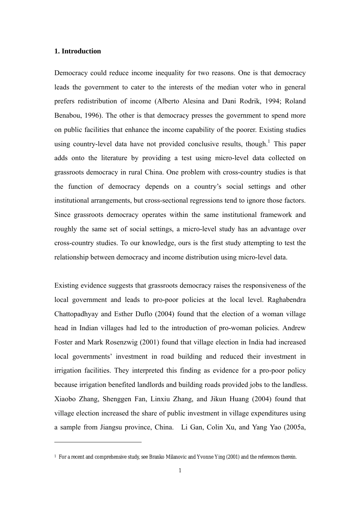# **1. Introduction**

 $\overline{a}$ 

Democracy could reduce income inequality for two reasons. One is that democracy leads the government to cater to the interests of the median voter who in general prefers redistribution of income (Alberto Alesina and Dani Rodrik, 1994; Roland Benabou, 1996). The other is that democracy presses the government to spend more on public facilities that enhance the income capability of the poorer. Existing studies using country-level data have not provided conclusive results, though.<sup>1</sup> This paper adds onto the literature by providing a test using micro-level data collected on grassroots democracy in rural China. One problem with cross-country studies is that the function of democracy depends on a country's social settings and other institutional arrangements, but cross-sectional regressions tend to ignore those factors. Since grassroots democracy operates within the same institutional framework and roughly the same set of social settings, a micro-level study has an advantage over cross-country studies. To our knowledge, ours is the first study attempting to test the relationship between democracy and income distribution using micro-level data.

Existing evidence suggests that grassroots democracy raises the responsiveness of the local government and leads to pro-poor policies at the local level. Raghabendra Chattopadhyay and Esther Duflo (2004) found that the election of a woman village head in Indian villages had led to the introduction of pro-woman policies. Andrew Foster and Mark Rosenzwig (2001) found that village election in India had increased local governments' investment in road building and reduced their investment in irrigation facilities. They interpreted this finding as evidence for a pro-poor policy because irrigation benefited landlords and building roads provided jobs to the landless. Xiaobo Zhang, Shenggen Fan, Linxiu Zhang, and Jikun Huang (2004) found that village election increased the share of public investment in village expenditures using a sample from Jiangsu province, China. Li Gan, Colin Xu, and Yang Yao (2005a,

<sup>1</sup> For a recent and comprehensive study, see Branko Milanovic and Yvonne Ying (2001) and the references therein.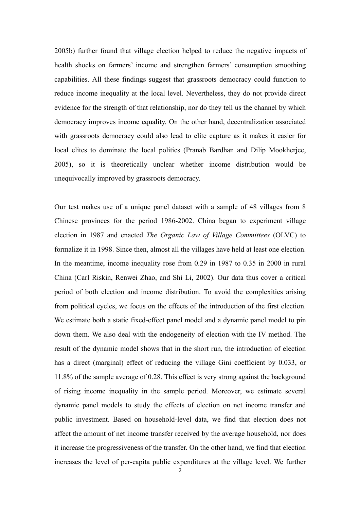2005b) further found that village election helped to reduce the negative impacts of health shocks on farmers' income and strengthen farmers' consumption smoothing capabilities. All these findings suggest that grassroots democracy could function to reduce income inequality at the local level. Nevertheless, they do not provide direct evidence for the strength of that relationship, nor do they tell us the channel by which democracy improves income equality. On the other hand, decentralization associated with grassroots democracy could also lead to elite capture as it makes it easier for local elites to dominate the local politics (Pranab Bardhan and Dilip Mookherjee, 2005), so it is theoretically unclear whether income distribution would be unequivocally improved by grassroots democracy.

Our test makes use of a unique panel dataset with a sample of 48 villages from 8 Chinese provinces for the period 1986-2002. China began to experiment village election in 1987 and enacted *The Organic Law of Village Committees* (OLVC) to formalize it in 1998. Since then, almost all the villages have held at least one election. In the meantime, income inequality rose from 0.29 in 1987 to 0.35 in 2000 in rural China (Carl Riskin, Renwei Zhao, and Shi Li, 2002). Our data thus cover a critical period of both election and income distribution. To avoid the complexities arising from political cycles, we focus on the effects of the introduction of the first election. We estimate both a static fixed-effect panel model and a dynamic panel model to pin down them. We also deal with the endogeneity of election with the IV method. The result of the dynamic model shows that in the short run, the introduction of election has a direct (marginal) effect of reducing the village Gini coefficient by 0.033, or 11.8% of the sample average of 0.28. This effect is very strong against the background of rising income inequality in the sample period. Moreover, we estimate several dynamic panel models to study the effects of election on net income transfer and public investment. Based on household-level data, we find that election does not affect the amount of net income transfer received by the average household, nor does it increase the progressiveness of the transfer. On the other hand, we find that election increases the level of per-capita public expenditures at the village level. We further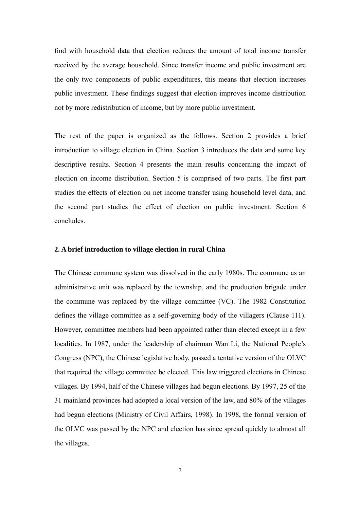find with household data that election reduces the amount of total income transfer received by the average household. Since transfer income and public investment are the only two components of public expenditures, this means that election increases public investment. These findings suggest that election improves income distribution not by more redistribution of income, but by more public investment.

The rest of the paper is organized as the follows. Section 2 provides a brief introduction to village election in China. Section 3 introduces the data and some key descriptive results. Section 4 presents the main results concerning the impact of election on income distribution. Section 5 is comprised of two parts. The first part studies the effects of election on net income transfer using household level data, and the second part studies the effect of election on public investment. Section 6 concludes.

# **2. A brief introduction to village election in rural China**

The Chinese commune system was dissolved in the early 1980s. The commune as an administrative unit was replaced by the township, and the production brigade under the commune was replaced by the village committee (VC). The 1982 Constitution defines the village committee as a self-governing body of the villagers (Clause 111). However, committee members had been appointed rather than elected except in a few localities. In 1987, under the leadership of chairman Wan Li, the National People's Congress (NPC), the Chinese legislative body, passed a tentative version of the OLVC that required the village committee be elected. This law triggered elections in Chinese villages. By 1994, half of the Chinese villages had begun elections. By 1997, 25 of the 31 mainland provinces had adopted a local version of the law, and 80% of the villages had begun elections (Ministry of Civil Affairs, 1998). In 1998, the formal version of the OLVC was passed by the NPC and election has since spread quickly to almost all the villages.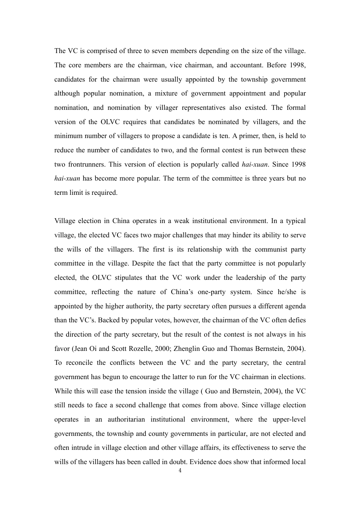The VC is comprised of three to seven members depending on the size of the village. The core members are the chairman, vice chairman, and accountant. Before 1998, candidates for the chairman were usually appointed by the township government although popular nomination, a mixture of government appointment and popular nomination, and nomination by villager representatives also existed. The formal version of the OLVC requires that candidates be nominated by villagers, and the minimum number of villagers to propose a candidate is ten. A primer, then, is held to reduce the number of candidates to two, and the formal contest is run between these two frontrunners. This version of election is popularly called *hai-xuan*. Since 1998 *hai-xuan* has become more popular. The term of the committee is three years but no term limit is required.

Village election in China operates in a weak institutional environment. In a typical village, the elected VC faces two major challenges that may hinder its ability to serve the wills of the villagers. The first is its relationship with the communist party committee in the village. Despite the fact that the party committee is not popularly elected, the OLVC stipulates that the VC work under the leadership of the party committee, reflecting the nature of China's one-party system. Since he/she is appointed by the higher authority, the party secretary often pursues a different agenda than the VC's. Backed by popular votes, however, the chairman of the VC often defies the direction of the party secretary, but the result of the contest is not always in his favor (Jean Oi and Scott Rozelle, 2000; Zhenglin Guo and Thomas Bernstein, 2004). To reconcile the conflicts between the VC and the party secretary, the central government has begun to encourage the latter to run for the VC chairman in elections. While this will ease the tension inside the village ( Guo and Bernstein, 2004), the VC still needs to face a second challenge that comes from above. Since village election operates in an authoritarian institutional environment, where the upper-level governments, the township and county governments in particular, are not elected and often intrude in village election and other village affairs, its effectiveness to serve the wills of the villagers has been called in doubt. Evidence does show that informed local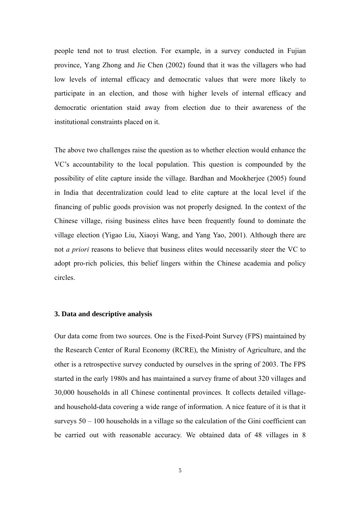people tend not to trust election. For example, in a survey conducted in Fujian province, Yang Zhong and Jie Chen (2002) found that it was the villagers who had low levels of internal efficacy and democratic values that were more likely to participate in an election, and those with higher levels of internal efficacy and democratic orientation staid away from election due to their awareness of the institutional constraints placed on it.

The above two challenges raise the question as to whether election would enhance the VC's accountability to the local population. This question is compounded by the possibility of elite capture inside the village. Bardhan and Mookherjee (2005) found in India that decentralization could lead to elite capture at the local level if the financing of public goods provision was not properly designed. In the context of the Chinese village, rising business elites have been frequently found to dominate the village election (Yigao Liu, Xiaoyi Wang, and Yang Yao, 2001). Although there are not *a priori* reasons to believe that business elites would necessarily steer the VC to adopt pro-rich policies, this belief lingers within the Chinese academia and policy circles.

# **3. Data and descriptive analysis**

Our data come from two sources. One is the Fixed-Point Survey (FPS) maintained by the Research Center of Rural Economy (RCRE), the Ministry of Agriculture, and the other is a retrospective survey conducted by ourselves in the spring of 2003. The FPS started in the early 1980s and has maintained a survey frame of about 320 villages and 30,000 households in all Chinese continental provinces. It collects detailed villageand household-data covering a wide range of information. A nice feature of it is that it surveys 50 – 100 households in a village so the calculation of the Gini coefficient can be carried out with reasonable accuracy. We obtained data of 48 villages in 8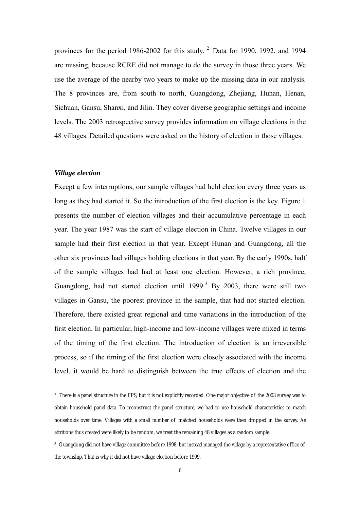provinces for the period 1986-2002 for this study.  $2$  Data for 1990, 1992, and 1994 are missing, because RCRE did not manage to do the survey in those three years. We use the average of the nearby two years to make up the missing data in our analysis. The 8 provinces are, from south to north, Guangdong, Zhejiang, Hunan, Henan, Sichuan, Gansu, Shanxi, and Jilin. They cover diverse geographic settings and income levels. The 2003 retrospective survey provides information on village elections in the 48 villages. Detailed questions were asked on the history of election in those villages.

#### *Village election*

 $\overline{a}$ 

Except a few interruptions, our sample villages had held election every three years as long as they had started it. So the introduction of the first election is the key. Figure 1 presents the number of election villages and their accumulative percentage in each year. The year 1987 was the start of village election in China. Twelve villages in our sample had their first election in that year. Except Hunan and Guangdong, all the other six provinces had villages holding elections in that year. By the early 1990s, half of the sample villages had had at least one election. However, a rich province, Guangdong, had not started election until  $1999$ .<sup>3</sup> By 2003, there were still two villages in Gansu, the poorest province in the sample, that had not started election. Therefore, there existed great regional and time variations in the introduction of the first election. In particular, high-income and low-income villages were mixed in terms of the timing of the first election. The introduction of election is an irreversible process, so if the timing of the first election were closely associated with the income level, it would be hard to distinguish between the true effects of election and the

<sup>2</sup> There is a panel structure in the FPS, but it is not explicitly recorded. One major objective of the 2003 survey was to obtain household panel data. To reconstruct the panel structure, we had to use household characteristics to match households over time. Villages with a small number of matched households were then dropped in the survey. As attritions thus created were likely to be random, we treat the remaining 48 villages as a random sample.

<sup>3</sup> Guangdong did not have village committee before 1998, but instead managed the village by a representative office of the township. That is why it did not have village election before 1999.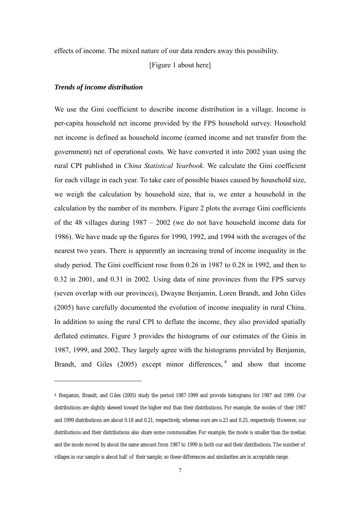effects of income. The mixed nature of our data renders away this possibility.

[Figure 1 about here]

# *Trends of income distribution*

 $\overline{a}$ 

We use the Gini coefficient to describe income distribution in a village. Income is per-capita household net income provided by the FPS household survey. Household net income is defined as household income (earned income and net transfer from the government) net of operational costs. We have converted it into 2002 yuan using the rural CPI published in *China Statistical Yearbook*. We calculate the Gini coefficient for each village in each year. To take care of possible biases caused by household size, we weigh the calculation by household size, that is, we enter a household in the calculation by the number of its members. Figure 2 plots the average Gini coefficients of the 48 villages during 1987 – 2002 (we do not have household income data for 1986). We have made up the figures for 1990, 1992, and 1994 with the averages of the nearest two years. There is apparently an increasing trend of income inequality in the study period. The Gini coefficient rose from 0.26 in 1987 to 0.28 in 1992, and then to 0.32 in 2001, and 0.31 in 2002. Using data of nine provinces from the FPS survey (seven overlap with our provinces), Dwayne Benjamin, Loren Brandt, and John Giles (2005) have carefully documented the evolution of income inequality in rural China. In addition to using the rural CPI to deflate the income, they also provided spatially deflated estimates. Figure 3 provides the histograms of our estimates of the Ginis in 1987, 1999, and 2002. They largely agree with the histograms provided by Benjamin, Brandt, and Giles  $(2005)$  except minor differences,  $4$  and show that income

<sup>4</sup> Benjamin, Brandt, and Giles (2005) study the period 1987-1999 and provide histograms for 1987 and 1999. Our distributions are slightly skewed toward the higher end than their distributions. For example, the modes of their 1987 and 1999 distributions are about 0.18 and 0.21, respectively, whereas ours are o.23 and 0.25, respectively. However, our distributions and their distributions also share some commonalties. For example, the mode is smaller than the median and the mode moved by about the same amount from 1987 to 1999 in both our and their distributions. The number of villages in our sample is about half of their sample, so these differences and similarities are in acceptable range.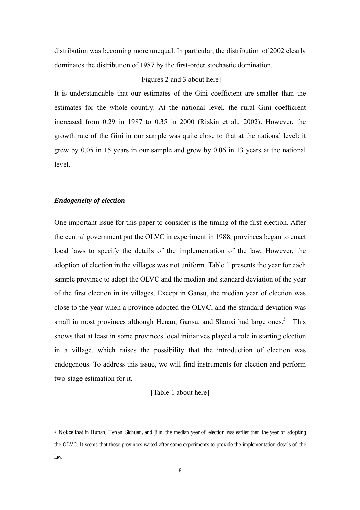distribution was becoming more unequal. In particular, the distribution of 2002 clearly dominates the distribution of 1987 by the first-order stochastic domination.

#### [Figures 2 and 3 about here]

It is understandable that our estimates of the Gini coefficient are smaller than the estimates for the whole country. At the national level, the rural Gini coefficient increased from 0.29 in 1987 to 0.35 in 2000 (Riskin et al., 2002). However, the growth rate of the Gini in our sample was quite close to that at the national level: it grew by 0.05 in 15 years in our sample and grew by 0.06 in 13 years at the national level.

# *Endogeneity of election*

 $\overline{a}$ 

One important issue for this paper to consider is the timing of the first election. After the central government put the OLVC in experiment in 1988, provinces began to enact local laws to specify the details of the implementation of the law. However, the adoption of election in the villages was not uniform. Table 1 presents the year for each sample province to adopt the OLVC and the median and standard deviation of the year of the first election in its villages. Except in Gansu, the median year of election was close to the year when a province adopted the OLVC, and the standard deviation was small in most provinces although Henan, Gansu, and Shanxi had large ones.<sup>5</sup> This shows that at least in some provinces local initiatives played a role in starting election in a village, which raises the possibility that the introduction of election was endogenous. To address this issue, we will find instruments for election and perform two-stage estimation for it.

[Table 1 about here]

<sup>5</sup> Notice that in Hunan, Henan, Sichuan, and Jilin, the median year of election was earlier than the year of adopting the OLVC. It seems that these provinces waited after some experiments to provide the implementation details of the law.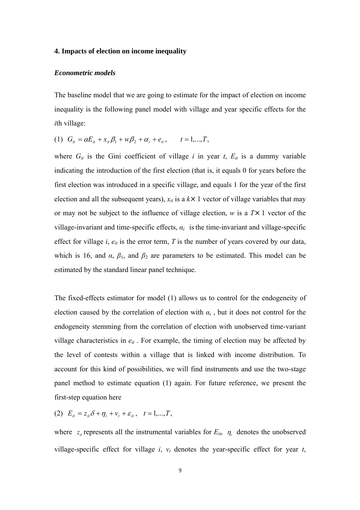# **4. Impacts of election on income inequality**

#### *Econometric models*

The baseline model that we are going to estimate for the impact of election on income inequality is the following panel model with village and year specific effects for the *i*th village:

(1) 
$$
G_{it} = \alpha E_{it} + x_{it} \beta_1 + w \beta_2 + \alpha_i + e_{it}, \qquad t = 1,...,T,
$$

where  $G_{it}$  is the Gini coefficient of village *i* in year *t*,  $E_{it}$  is a dummy variable indicating the introduction of the first election (that is, it equals 0 for years before the first election was introduced in a specific village, and equals 1 for the year of the first election and all the subsequent years),  $x_{it}$  is a  $k \times 1$  vector of village variables that may or may not be subject to the influence of village election,  $w$  is a  $T \times 1$  vector of the village-invariant and time-specific effects,  $a_i$  is the time-invariant and village-specific effect for village *i*,  $e_{it}$  is the error term, *T* is the number of years covered by our data, which is 16, and  $\alpha$ ,  $\beta_1$ , and  $\beta_2$  are parameters to be estimated. This model can be estimated by the standard linear panel technique.

The fixed-effects estimator for model (1) allows us to control for the endogeneity of election caused by the correlation of election with *αi* , but it does not control for the endogeneity stemming from the correlation of election with unobserved time-variant village characteristics in  $e_{it}$ . For example, the timing of election may be affected by the level of contests within a village that is linked with income distribution. To account for this kind of possibilities, we will find instruments and use the two-stage panel method to estimate equation (1) again. For future reference, we present the first-step equation here

(2)  $E_{it} = z_{it}\delta + \eta_i + v_t + \varepsilon_{it}$ ,  $t = 1,...,T$ ,

where  $z_{ii}$  represents all the instrumental variables for  $E_{it}$ ,  $\eta_i$  denotes the unobserved village-specific effect for village  $i$ ,  $v_t$  denotes the year-specific effect for year  $t$ ,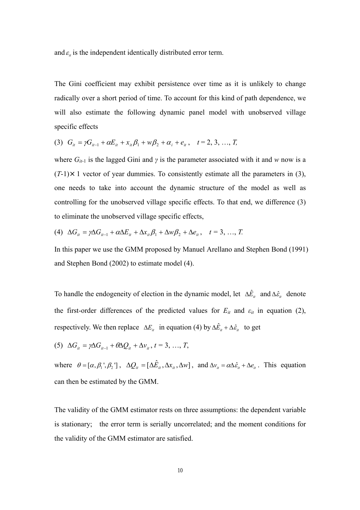and  $\varepsilon$ <sub>*i*</sub> is the independent identically distributed error term.

The Gini coefficient may exhibit persistence over time as it is unlikely to change radically over a short period of time. To account for this kind of path dependence, we will also estimate the following dynamic panel model with unobserved village specific effects

(3) 
$$
G_{it} = \gamma G_{it-1} + \alpha E_{it} + x_{it} \beta_1 + w \beta_2 + \alpha_i + e_{it}
$$
,  $t = 2, 3, ..., T$ ,

where  $G_{it-1}$  is the lagged Gini and  $\gamma$  is the parameter associated with it and *w* now is a  $(T-1) \times 1$  vector of year dummies. To consistently estimate all the parameters in (3), one needs to take into account the dynamic structure of the model as well as controlling for the unobserved village specific effects. To that end, we difference (3) to eliminate the unobserved village specific effects,

(4) 
$$
\Delta G_{it} = \gamma \Delta G_{it-1} + \alpha \Delta E_{it} + \Delta x_{it} \beta_1 + \Delta w \beta_2 + \Delta e_{it}, \quad t = 3, ..., T.
$$

In this paper we use the GMM proposed by Manuel Arellano and Stephen Bond (1991) and Stephen Bond (2002) to estimate model (4).

To handle the endogeneity of election in the dynamic model, let  $\Delta \hat{E}_{it}$  and  $\Delta \hat{\epsilon}_{it}$  denote the first-order differences of the predicted values for  $E_{it}$  and  $\varepsilon_{it}$  in equation (2), respectively. We then replace  $\Delta E_i$  in equation (4) by  $\Delta \hat{E}_i + \Delta \hat{\epsilon}_i$  to get

$$
(5) \ \Delta G_{it} = \gamma \Delta G_{it-1} + \theta \Delta Q_{it} + \Delta v_{it}, t = 3, \ldots, T,
$$

where  $\theta = [\alpha, \beta_1', \beta_2']$ ,  $\Delta Q_{ii} = [\Delta \hat{E}_{ii}, \Delta x_{ii}, \Delta w]$ , and  $\Delta v_{ii} = \alpha \Delta \hat{\epsilon}_{ii} + \Delta e_{ii}$ . This equation can then be estimated by the GMM.

The validity of the GMM estimator rests on three assumptions: the dependent variable is stationary; the error term is serially uncorrelated; and the moment conditions for the validity of the GMM estimator are satisfied.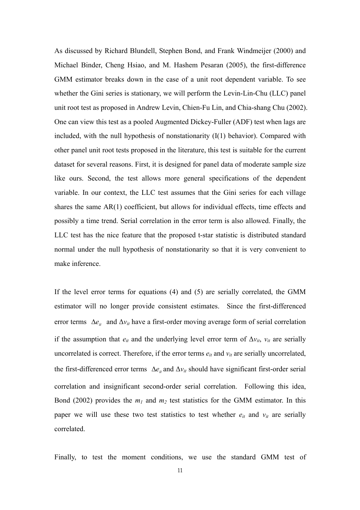As discussed by Richard Blundell, Stephen Bond, and Frank Windmeijer (2000) and Michael Binder, Cheng Hsiao, and M. Hashem Pesaran (2005), the first-difference GMM estimator breaks down in the case of a unit root dependent variable. To see whether the Gini series is stationary, we will perform the Levin-Lin-Chu (LLC) panel unit root test as proposed in Andrew Levin, Chien-Fu Lin, and Chia-shang Chu (2002). One can view this test as a pooled Augmented Dickey-Fuller (ADF) test when lags are included, with the null hypothesis of nonstationarity (I(1) behavior). Compared with other panel unit root tests proposed in the literature, this test is suitable for the current dataset for several reasons. First, it is designed for panel data of moderate sample size like ours. Second, the test allows more general specifications of the dependent variable. In our context, the LLC test assumes that the Gini series for each village shares the same AR(1) coefficient, but allows for individual effects, time effects and possibly a time trend. Serial correlation in the error term is also allowed. Finally, the LLC test has the nice feature that the proposed t-star statistic is distributed standard normal under the null hypothesis of nonstationarity so that it is very convenient to make inference.

If the level error terms for equations (4) and (5) are serially correlated, the GMM estimator will no longer provide consistent estimates. Since the first-differenced error terms *∆e*<sub>*it*</sub> and Δ*v*<sub>*it*</sub> have a first-order moving average form of serial correlation if the assumption that  $e_{it}$  and the underlying level error term of  $\Delta v_{it}$ ,  $v_{it}$  are serially uncorrelated is correct. Therefore, if the error terms  $e_{it}$  and  $v_{it}$  are serially uncorrelated, the first-differenced error terms  $\Delta e_i$  and  $\Delta v_i$  should have significant first-order serial correlation and insignificant second-order serial correlation. Following this idea, Bond (2002) provides the  $m_1$  and  $m_2$  test statistics for the GMM estimator. In this paper we will use these two test statistics to test whether  $e_{it}$  and  $v_{it}$  are serially correlated.

Finally, to test the moment conditions, we use the standard GMM test of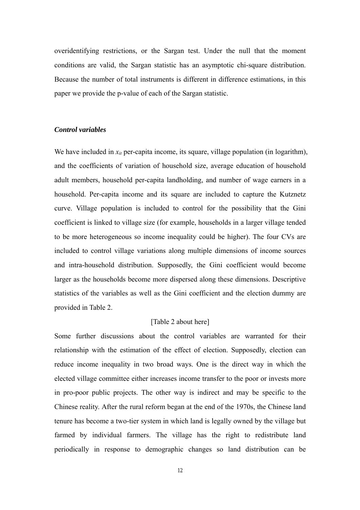overidentifying restrictions, or the Sargan test. Under the null that the moment conditions are valid, the Sargan statistic has an asymptotic chi-square distribution. Because the number of total instruments is different in difference estimations, in this paper we provide the p-value of each of the Sargan statistic.

# *Control variables*

We have included in  $x_{it}$  per-capita income, its square, village population (in logarithm), and the coefficients of variation of household size, average education of household adult members, household per-capita landholding, and number of wage earners in a household. Per-capita income and its square are included to capture the Kutznetz curve. Village population is included to control for the possibility that the Gini coefficient is linked to village size (for example, households in a larger village tended to be more heterogeneous so income inequality could be higher). The four CVs are included to control village variations along multiple dimensions of income sources and intra-household distribution. Supposedly, the Gini coefficient would become larger as the households become more dispersed along these dimensions. Descriptive statistics of the variables as well as the Gini coefficient and the election dummy are provided in Table 2.

# [Table 2 about here]

Some further discussions about the control variables are warranted for their relationship with the estimation of the effect of election. Supposedly, election can reduce income inequality in two broad ways. One is the direct way in which the elected village committee either increases income transfer to the poor or invests more in pro-poor public projects. The other way is indirect and may be specific to the Chinese reality. After the rural reform began at the end of the 1970s, the Chinese land tenure has become a two-tier system in which land is legally owned by the village but farmed by individual farmers. The village has the right to redistribute land periodically in response to demographic changes so land distribution can be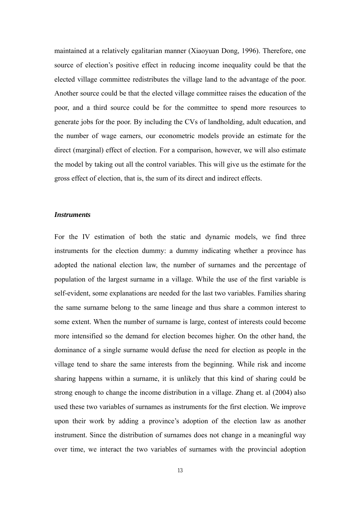maintained at a relatively egalitarian manner (Xiaoyuan Dong, 1996). Therefore, one source of election's positive effect in reducing income inequality could be that the elected village committee redistributes the village land to the advantage of the poor. Another source could be that the elected village committee raises the education of the poor, and a third source could be for the committee to spend more resources to generate jobs for the poor. By including the CVs of landholding, adult education, and the number of wage earners, our econometric models provide an estimate for the direct (marginal) effect of election. For a comparison, however, we will also estimate the model by taking out all the control variables. This will give us the estimate for the gross effect of election, that is, the sum of its direct and indirect effects.

#### *Instruments*

For the IV estimation of both the static and dynamic models, we find three instruments for the election dummy: a dummy indicating whether a province has adopted the national election law, the number of surnames and the percentage of population of the largest surname in a village. While the use of the first variable is self-evident, some explanations are needed for the last two variables. Families sharing the same surname belong to the same lineage and thus share a common interest to some extent. When the number of surname is large, contest of interests could become more intensified so the demand for election becomes higher. On the other hand, the dominance of a single surname would defuse the need for election as people in the village tend to share the same interests from the beginning. While risk and income sharing happens within a surname, it is unlikely that this kind of sharing could be strong enough to change the income distribution in a village. Zhang et. al (2004) also used these two variables of surnames as instruments for the first election. We improve upon their work by adding a province's adoption of the election law as another instrument. Since the distribution of surnames does not change in a meaningful way over time, we interact the two variables of surnames with the provincial adoption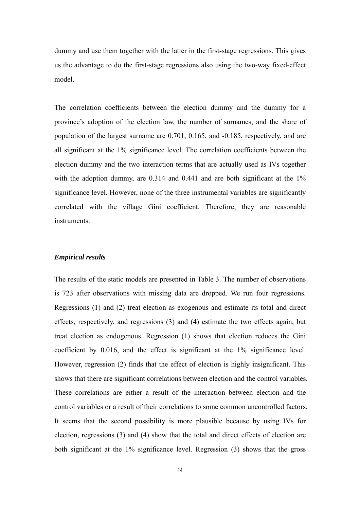dummy and use them together with the latter in the first-stage regressions. This gives us the advantage to do the first-stage regressions also using the two-way fixed-effect model.

The correlation coefficients between the election dummy and the dummy for a province's adoption of the election law, the number of surnames, and the share of population of the largest surname are 0.701, 0.165, and -0.185, respectively, and are all significant at the 1% significance level. The correlation coefficients between the election dummy and the two interaction terms that are actually used as IVs together with the adoption dummy, are 0.314 and 0.441 and are both significant at the 1% significance level. However, none of the three instrumental variables are significantly correlated with the village Gini coefficient. Therefore, they are reasonable instruments.

#### *Empirical results*

The results of the static models are presented in Table 3. The number of observations is 723 after observations with missing data are dropped. We run four regressions. Regressions (1) and (2) treat election as exogenous and estimate its total and direct effects, respectively, and regressions (3) and (4) estimate the two effects again, but treat election as endogenous. Regression (1) shows that election reduces the Gini coefficient by 0.016, and the effect is significant at the 1% significance level. However, regression (2) finds that the effect of election is highly insignificant. This shows that there are significant correlations between election and the control variables. These correlations are either a result of the interaction between election and the control variables or a result of their correlations to some common uncontrolled factors. It seems that the second possibility is more plausible because by using IVs for election, regressions (3) and (4) show that the total and direct effects of election are both significant at the 1% significance level. Regression (3) shows that the gross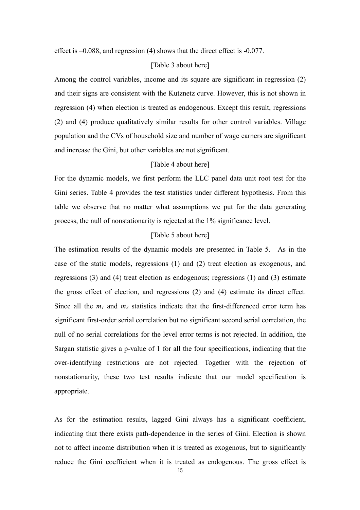effect is –0.088, and regression (4) shows that the direct effect is -0.077.

# [Table 3 about here]

Among the control variables, income and its square are significant in regression (2) and their signs are consistent with the Kutznetz curve. However, this is not shown in regression (4) when election is treated as endogenous. Except this result, regressions (2) and (4) produce qualitatively similar results for other control variables. Village population and the CVs of household size and number of wage earners are significant and increase the Gini, but other variables are not significant.

# [Table 4 about here]

For the dynamic models, we first perform the LLC panel data unit root test for the Gini series. Table 4 provides the test statistics under different hypothesis. From this table we observe that no matter what assumptions we put for the data generating process, the null of nonstationarity is rejected at the 1% significance level.

# [Table 5 about here]

The estimation results of the dynamic models are presented in Table 5. As in the case of the static models, regressions (1) and (2) treat election as exogenous, and regressions (3) and (4) treat election as endogenous; regressions (1) and (3) estimate the gross effect of election, and regressions (2) and (4) estimate its direct effect. Since all the  $m_1$  and  $m_2$  statistics indicate that the first-differenced error term has significant first-order serial correlation but no significant second serial correlation, the null of no serial correlations for the level error terms is not rejected. In addition, the Sargan statistic gives a p-value of 1 for all the four specifications, indicating that the over-identifying restrictions are not rejected. Together with the rejection of nonstationarity, these two test results indicate that our model specification is appropriate.

As for the estimation results, lagged Gini always has a significant coefficient, indicating that there exists path-dependence in the series of Gini. Election is shown not to affect income distribution when it is treated as exogenous, but to significantly reduce the Gini coefficient when it is treated as endogenous. The gross effect is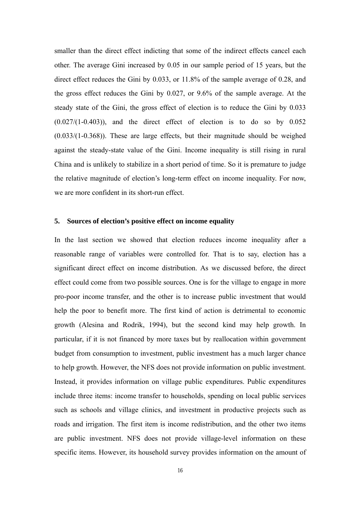smaller than the direct effect indicting that some of the indirect effects cancel each other. The average Gini increased by 0.05 in our sample period of 15 years, but the direct effect reduces the Gini by 0.033, or 11.8% of the sample average of 0.28, and the gross effect reduces the Gini by 0.027, or 9.6% of the sample average. At the steady state of the Gini, the gross effect of election is to reduce the Gini by 0.033  $(0.027/(1-0.403))$ , and the direct effect of election is to do so by  $0.052$ (0.033/(1-0.368)). These are large effects, but their magnitude should be weighed against the steady-state value of the Gini. Income inequality is still rising in rural China and is unlikely to stabilize in a short period of time. So it is premature to judge the relative magnitude of election's long-term effect on income inequality. For now, we are more confident in its short-run effect.

#### **5. Sources of election's positive effect on income equality**

In the last section we showed that election reduces income inequality after a reasonable range of variables were controlled for. That is to say, election has a significant direct effect on income distribution. As we discussed before, the direct effect could come from two possible sources. One is for the village to engage in more pro-poor income transfer, and the other is to increase public investment that would help the poor to benefit more. The first kind of action is detrimental to economic growth (Alesina and Rodrik, 1994), but the second kind may help growth. In particular, if it is not financed by more taxes but by reallocation within government budget from consumption to investment, public investment has a much larger chance to help growth. However, the NFS does not provide information on public investment. Instead, it provides information on village public expenditures. Public expenditures include three items: income transfer to households, spending on local public services such as schools and village clinics, and investment in productive projects such as roads and irrigation. The first item is income redistribution, and the other two items are public investment. NFS does not provide village-level information on these specific items. However, its household survey provides information on the amount of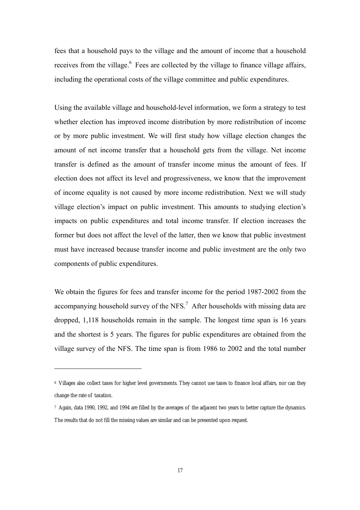fees that a household pays to the village and the amount of income that a household receives from the village.<sup>6</sup> Fees are collected by the village to finance village affairs, including the operational costs of the village committee and public expenditures.

Using the available village and household-level information, we form a strategy to test whether election has improved income distribution by more redistribution of income or by more public investment. We will first study how village election changes the amount of net income transfer that a household gets from the village. Net income transfer is defined as the amount of transfer income minus the amount of fees. If election does not affect its level and progressiveness, we know that the improvement of income equality is not caused by more income redistribution. Next we will study village election's impact on public investment. This amounts to studying election's impacts on public expenditures and total income transfer. If election increases the former but does not affect the level of the latter, then we know that public investment must have increased because transfer income and public investment are the only two components of public expenditures.

We obtain the figures for fees and transfer income for the period 1987-2002 from the accompanying household survey of the NFS.<sup>7</sup> After households with missing data are dropped, 1,118 households remain in the sample. The longest time span is 16 years and the shortest is 5 years. The figures for public expenditures are obtained from the village survey of the NFS. The time span is from 1986 to 2002 and the total number

 $\overline{a}$ 

<sup>6</sup> Villages also collect taxes for higher level governments. They cannot use taxes to finance local affairs, nor can they change the rate of taxation.

<sup>7</sup> Again, data 1990, 1992, and 1994 are filled by the averages of the adjacent two years to better capture the dynamics. The results that do not fill the missing values are similar and can be presented upon request.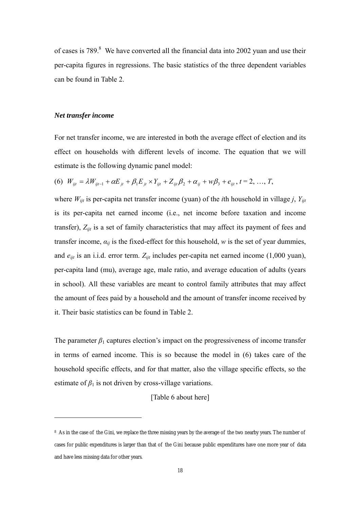of cases is  $789.8$  We have converted all the financial data into 2002 yuan and use their per-capita figures in regressions. The basic statistics of the three dependent variables can be found in Table 2.

#### *Net transfer income*

 $\overline{a}$ 

For net transfer income, we are interested in both the average effect of election and its effect on households with different levels of income. The equation that we will estimate is the following dynamic panel model:

(6) 
$$
W_{ijt} = \lambda W_{ijt-1} + \alpha E_{jt} + \beta_1 E_{jt} \times Y_{ijt} + Z_{ijt} \beta_2 + \alpha_{ij} + w \beta_3 + e_{ijt}, t = 2, ..., T
$$

where  $W_{ijt}$  is per-capita net transfer income (yuan) of the *i*th household in village *j*,  $Y_{ijt}$ is its per-capita net earned income (i.e., net income before taxation and income transfer), *Zijt* is a set of family characteristics that may affect its payment of fees and transfer income,  $a_{ij}$  is the fixed-effect for this household,  $w$  is the set of year dummies, and *eijt* is an i.i.d. error term. *Zijt* includes per-capita net earned income (1,000 yuan), per-capita land (mu), average age, male ratio, and average education of adults (years in school). All these variables are meant to control family attributes that may affect the amount of fees paid by a household and the amount of transfer income received by it. Their basic statistics can be found in Table 2.

The parameter  $\beta_1$  captures election's impact on the progressiveness of income transfer in terms of earned income. This is so because the model in (6) takes care of the household specific effects, and for that matter, also the village specific effects, so the estimate of  $\beta_1$  is not driven by cross-village variations.

# [Table 6 about here]

<sup>8</sup> As in the case of the Gini, we replace the three missing years by the average of the two nearby years. The number of cases for public expenditures is larger than that of the Gini because public expenditures have one more year of data and have less missing data for other years.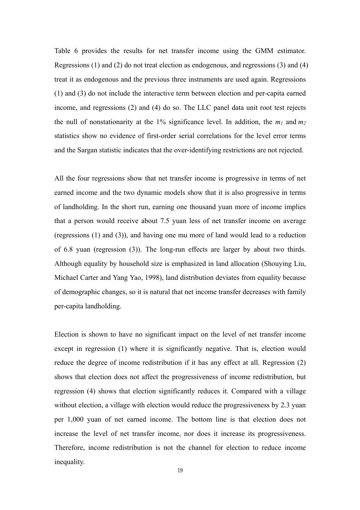Table 6 provides the results for net transfer income using the GMM estimator. Regressions (1) and (2) do not treat election as endogenous, and regressions (3) and (4) treat it as endogenous and the previous three instruments are used again. Regressions (1) and (3) do not include the interactive term between election and per-capita earned income, and regressions (2) and (4) do so. The LLC panel data unit root test rejects the null of nonstationarity at the 1% significance level. In addition, the  $m_1$  and  $m_2$ statistics show no evidence of first-order serial correlations for the level error terms and the Sargan statistic indicates that the over-identifying restrictions are not rejected.

All the four regressions show that net transfer income is progressive in terms of net earned income and the two dynamic models show that it is also progressive in terms of landholding. In the short run, earning one thousand yuan more of income implies that a person would receive about 7.5 yuan less of net transfer income on average (regressions (1) and (3)), and having one mu more of land would lead to a reduction of 6.8 yuan (regression (3)). The long-run effects are larger by about two thirds. Although equality by household size is emphasized in land allocation (Shouying Liu, Michael Carter and Yang Yao, 1998), land distribution deviates from equality because of demographic changes, so it is natural that net income transfer decreases with family per-capita landholding.

Election is shown to have no significant impact on the level of net transfer income except in regression (1) where it is significantly negative. That is, election would reduce the degree of income redistribution if it has any effect at all. Regression (2) shows that election does not affect the progressiveness of income redistribution, but regression (4) shows that election significantly reduces it. Compared with a village without election, a village with election would reduce the progressiveness by 2.3 yuan per 1,000 yuan of net earned income. The bottom line is that election does not increase the level of net transfer income, nor does it increase its progressiveness. Therefore, income redistribution is not the channel for election to reduce income inequality.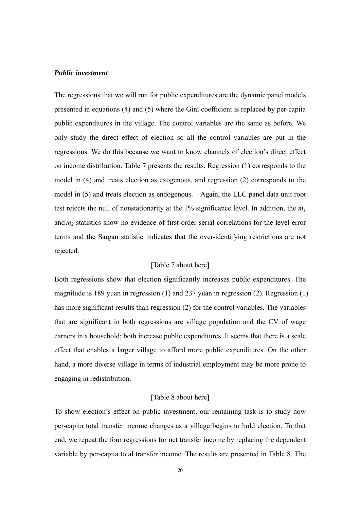# *Public investment*

The regressions that we will run for public expenditures are the dynamic panel models presented in equations (4) and (5) where the Gini coefficient is replaced by per-capita public expenditures in the village. The control variables are the same as before. We only study the direct effect of election so all the control variables are put in the regressions. We do this because we want to know channels of election's direct effect on income distribution. Table 7 presents the results. Regression (1) corresponds to the model in (4) and treats election as exogenous, and regression (2) corresponds to the model in (5) and treats election as endogenous. Again, the LLC panel data unit root test rejects the null of nonstationarity at the  $1\%$  significance level. In addition, the  $m_l$ and *m<sub>2</sub>* statistics show no evidence of first-order serial correlations for the level error terms and the Sargan statistic indicates that the over-identifying restrictions are not rejected.

# [Table 7 about here]

Both regressions show that election significantly increases public expenditures. The magnitude is 189 yuan in regression (1) and 237 yuan in regression (2). Regression (1) has more significant results than regression (2) for the control variables. The variables that are significant in both regressions are village population and the CV of wage earners in a household; both increase public expenditures. It seems that there is a scale effect that enables a larger village to afford more public expenditures. On the other hand, a more diverse village in terms of industrial employment may be more prone to engaging in redistribution.

# [Table 8 about here]

To show election's effect on public investment, our remaining task is to study how per-capita total transfer income changes as a village begins to hold election. To that end, we repeat the four regressions for net transfer income by replacing the dependent variable by per-capita total transfer income. The results are presented in Table 8. The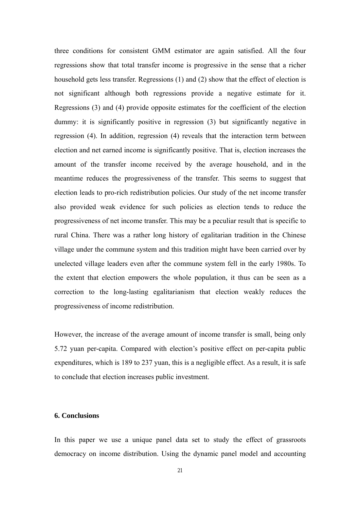three conditions for consistent GMM estimator are again satisfied. All the four regressions show that total transfer income is progressive in the sense that a richer household gets less transfer. Regressions (1) and (2) show that the effect of election is not significant although both regressions provide a negative estimate for it. Regressions (3) and (4) provide opposite estimates for the coefficient of the election dummy: it is significantly positive in regression (3) but significantly negative in regression (4). In addition, regression (4) reveals that the interaction term between election and net earned income is significantly positive. That is, election increases the amount of the transfer income received by the average household, and in the meantime reduces the progressiveness of the transfer. This seems to suggest that election leads to pro-rich redistribution policies. Our study of the net income transfer also provided weak evidence for such policies as election tends to reduce the progressiveness of net income transfer. This may be a peculiar result that is specific to rural China. There was a rather long history of egalitarian tradition in the Chinese village under the commune system and this tradition might have been carried over by unelected village leaders even after the commune system fell in the early 1980s. To the extent that election empowers the whole population, it thus can be seen as a correction to the long-lasting egalitarianism that election weakly reduces the progressiveness of income redistribution.

However, the increase of the average amount of income transfer is small, being only 5.72 yuan per-capita. Compared with election's positive effect on per-capita public expenditures, which is 189 to 237 yuan, this is a negligible effect. As a result, it is safe to conclude that election increases public investment.

# **6. Conclusions**

In this paper we use a unique panel data set to study the effect of grassroots democracy on income distribution. Using the dynamic panel model and accounting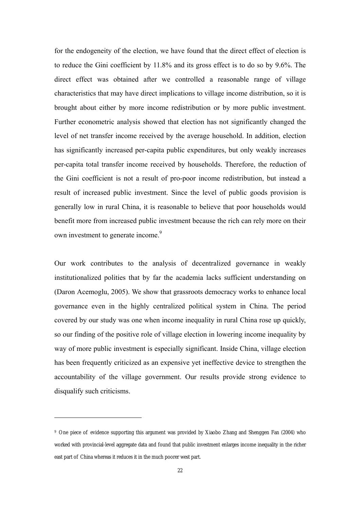for the endogeneity of the election, we have found that the direct effect of election is to reduce the Gini coefficient by 11.8% and its gross effect is to do so by 9.6%. The direct effect was obtained after we controlled a reasonable range of village characteristics that may have direct implications to village income distribution, so it is brought about either by more income redistribution or by more public investment. Further econometric analysis showed that election has not significantly changed the level of net transfer income received by the average household. In addition, election has significantly increased per-capita public expenditures, but only weakly increases per-capita total transfer income received by households. Therefore, the reduction of the Gini coefficient is not a result of pro-poor income redistribution, but instead a result of increased public investment. Since the level of public goods provision is generally low in rural China, it is reasonable to believe that poor households would benefit more from increased public investment because the rich can rely more on their own investment to generate income.<sup>9</sup>

Our work contributes to the analysis of decentralized governance in weakly institutionalized polities that by far the academia lacks sufficient understanding on (Daron Acemoglu, 2005). We show that grassroots democracy works to enhance local governance even in the highly centralized political system in China. The period covered by our study was one when income inequality in rural China rose up quickly, so our finding of the positive role of village election in lowering income inequality by way of more public investment is especially significant. Inside China, village election has been frequently criticized as an expensive yet ineffective device to strengthen the accountability of the village government. Our results provide strong evidence to disqualify such criticisms.

 $\overline{a}$ 

<sup>9</sup> One piece of evidence supporting this argument was provided by Xiaobo Zhang and Shenggen Fan (2004) who worked with provincial-level aggregate data and found that public investment enlarges income inequality in the richer east part of China whereas it reduces it in the much poorer west part.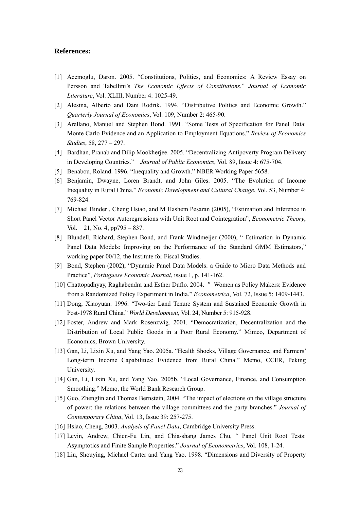# **References:**

- [1] Acemoglu, Daron. 2005. "Constitutions, Politics, and Economics: A Review Essay on Persson and Tabellini's *The Economic Effects of Constitutions*." *Journal of Economic Literature*, Vol. XLIII, Number 4: 1025-49.
- [2] Alesina, Alberto and Dani Rodrik. 1994. "Distributive Politics and Economic Growth." *Quarterly Journal of Economics*, Vol. 109, Number 2: 465-90.
- [3] Arellano, Manuel and Stephen Bond. 1991. "Some Tests of Specification for Panel Data: Monte Carlo Evidence and an Application to Employment Equations." *Review of Economics Studies*, 58, 277 – 297.
- [4] Bardhan, Pranab and Dilip Mookherjee. 2005. "Decentralizing Antipoverty Program Delivery in Developing Countries." *Journal of Public Economics*, Vol. 89, Issue 4: 675-704.
- [5] Benabou, Roland. 1996. "Inequality and Growth." NBER Working Paper 5658.
- [6] Benjamin, Dwayne, Loren Brandt, and John Giles. 2005. "The Evolution of Income Inequality in Rural China." *Economic Development and Cultural Change*, Vol. 53, Number 4: 769-824.
- [7] Michael Binder , Cheng Hsiao, and M Hashem Pesaran (2005), "Estimation and Inference in Short Panel Vector Autoregressions with Unit Root and Cointegration", *Econometric Theory*, Vol. 21, No. 4, pp795 – 837.
- [8] Blundell, Richard, Stephen Bond, and Frank Windmeijer (2000), " Estimation in Dynamic Panel Data Models: Improving on the Performance of the Standard GMM Estimators," working paper 00/12, the Institute for Fiscal Studies.
- [9] Bond, Stephen (2002), "Dynamic Panel Data Models: a Guide to Micro Data Methods and Practice", *Portuguese Economic Journal*, issue 1, p. 141-162.
- [10] Chattopadhyay, Raghabendra and Esther Duflo. 2004. "Women as Policy Makers: Evidence from a Randomized Policy Experiment in India." *Econometrica*, Vol. 72, Issue 5: 1409-1443.
- [11] Dong, Xiaoyuan. 1996. "Two-tier Land Tenure System and Sustained Economic Growth in Post-1978 Rural China." *World Development*, Vol. 24, Number 5: 915-928.
- [12] Foster, Andrew and Mark Rosenzwig. 2001. "Democratization, Decentralization and the Distribution of Local Public Goods in a Poor Rural Economy." Mimeo, Department of Economics, Brown University.
- [13] Gan, Li, Lixin Xu, and Yang Yao. 2005a. "Health Shocks, Village Governance, and Farmers' Long-term Income Capabilities: Evidence from Rural China." Memo, CCER, Peking University.
- [14] Gan, Li, Lixin Xu, and Yang Yao. 2005b. "Local Governance, Finance, and Consumption Smoothing." Memo, the World Bank Research Group.
- [15] Guo, Zhenglin and Thomas Bernstein, 2004. "The impact of elections on the village structure of power: the relations between the village committees and the party branches." *Journal of Contemporary China*, Vol. 13, Issue 39: 257-275.
- [16] Hsiao, Cheng, 2003. *Analysis of Panel Data*, Cambridge University Press.
- [17] Levin, Andrew, Chien-Fu Lin, and Chia-shang James Chu, " Panel Unit Root Tests: Asymptotics and Finite Sample Properties." *Journal of Econometrics*, Vol. 108, 1-24.
- [18] Liu, Shouying, Michael Carter and Yang Yao. 1998. "Dimensions and Diversity of Property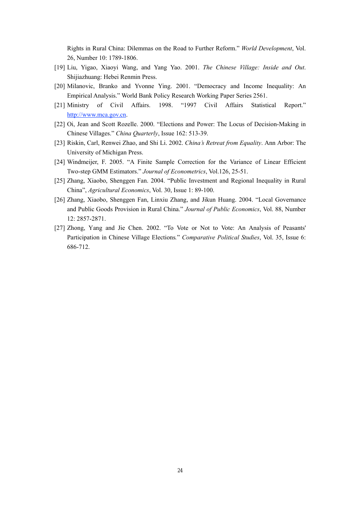Rights in Rural China: Dilemmas on the Road to Further Reform." *World Development*, Vol. 26, Number 10: 1789-1806.

- [19] Liu, Yigao, Xiaoyi Wang, and Yang Yao. 2001. *The Chinese Village: Inside and Out*. Shijiazhuang: Hebei Renmin Press.
- [20] Milanovic, Branko and Yvonne Ying. 2001. "Democracy and Income Inequality: An Empirical Analysis." World Bank Policy Research Working Paper Series 2561.
- [21] Ministry of Civil Affairs. 1998. "1997 Civil Affairs Statistical Report." http://www.mca.gov.cn.
- [22] Oi, Jean and Scott Rozelle. 2000. "Elections and Power: The Locus of Decision-Making in Chinese Villages." *China Quarterly*, Issue 162: 513-39.
- [23] Riskin, Carl, Renwei Zhao, and Shi Li. 2002. *China's Retreat from Equality*. Ann Arbor: The University of Michigan Press.
- [24] Windmeijer, F. 2005. "A Finite Sample Correction for the Variance of Linear Efficient Two-step GMM Estimators." *Journal of Econometrics*, Vol.126, 25-51.
- [25] Zhang, Xiaobo, Shenggen Fan. 2004. "Public Investment and Regional Inequality in Rural China", *Agricultural Economics*, Vol. 30, Issue 1: 89-100.
- [26] Zhang, Xiaobo, Shenggen Fan, Linxiu Zhang, and Jikun Huang. 2004. "Local Governance and Public Goods Provision in Rural China." *Journal of Public Economics*, Vol. 88, Number 12: 2857-2871.
- [27] Zhong, Yang and Jie Chen. 2002. "To Vote or Not to Vote: An Analysis of Peasants' Participation in Chinese Village Elections*.*" *Comparative Political Studies*, Vol. 35, Issue 6: 686-712.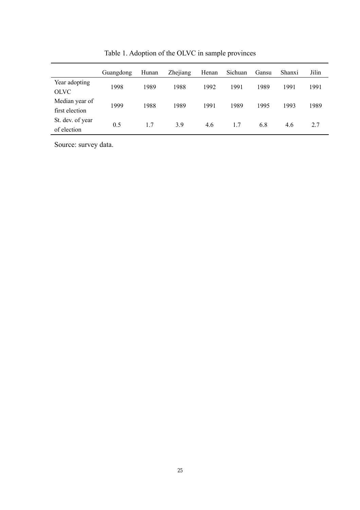|                                  | Guangdong | Hunan | Zhejiang | Henan | Sichuan | Gansu | Shanxi | Jilin |
|----------------------------------|-----------|-------|----------|-------|---------|-------|--------|-------|
| Year adopting<br><b>OLVC</b>     | 1998      | 1989  | 1988     | 1992  | 1991    | 1989  | 1991   | 1991  |
| Median year of<br>first election | 1999      | 1988  | 1989     | 1991  | 1989    | 1995  | 1993   | 1989  |
| St. dev. of year<br>of election  | 0.5       | 1.7   | 3.9      | 4.6   | 1.7     | 6.8   | 4.6    | 2.7   |

Table 1. Adoption of the OLVC in sample provinces

Source: survey data.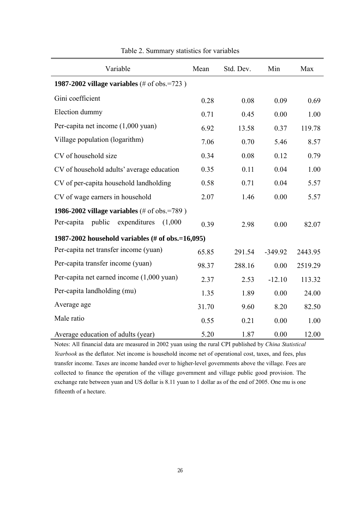| Variable                                             | Mean  | Std. Dev. | Min       | Max     |
|------------------------------------------------------|-------|-----------|-----------|---------|
| <b>1987-2002 village variables</b> (# of obs.=723)   |       |           |           |         |
| Gini coefficient                                     | 0.28  | 0.08      | 0.09      | 0.69    |
| Election dummy                                       | 0.71  | 0.45      | 0.00      | 1.00    |
| Per-capita net income (1,000 yuan)                   | 6.92  | 13.58     | 0.37      | 119.78  |
| Village population (logarithm)                       | 7.06  | 0.70      | 5.46      | 8.57    |
| CV of household size                                 | 0.34  | 0.08      | 0.12      | 0.79    |
| CV of household adults' average education            | 0.35  | 0.11      | 0.04      | 1.00    |
| CV of per-capita household landholding               | 0.58  | 0.71      | 0.04      | 5.57    |
| CV of wage earners in household                      | 2.07  | 1.46      | 0.00      | 5.57    |
| <b>1986-2002 village variables</b> (# of obs.=789)   |       |           |           |         |
| public<br>expenditures<br>Per-capita<br>(1,000)      | 0.39  | 2.98      | 0.00      | 82.07   |
| 1987-2002 household variables (# of obs.= $16,095$ ) |       |           |           |         |
| Per-capita net transfer income (yuan)                | 65.85 | 291.54    | $-349.92$ | 2443.95 |
| Per-capita transfer income (yuan)                    | 98.37 | 288.16    | 0.00      | 2519.29 |
| Per-capita net earned income (1,000 yuan)            | 2.37  | 2.53      | $-12.10$  | 113.32  |
| Per-capita landholding (mu)                          | 1.35  | 1.89      | 0.00      | 24.00   |
| Average age                                          | 31.70 | 9.60      | 8.20      | 82.50   |
| Male ratio                                           | 0.55  | 0.21      | 0.00      | 1.00    |
| Average education of adults (year)                   | 5.20  | 1.87      | 0.00      | 12.00   |

# Table 2. Summary statistics for variables

Notes: All financial data are measured in 2002 yuan using the rural CPI published by *China Statistical Yearbook* as the deflator. Net income is household income net of operational cost, taxes, and fees, plus transfer income. Taxes are income handed over to higher-level governments above the village. Fees are collected to finance the operation of the village government and village public good provision. The exchange rate between yuan and US dollar is 8.11 yuan to 1 dollar as of the end of 2005. One mu is one fifteenth of a hectare.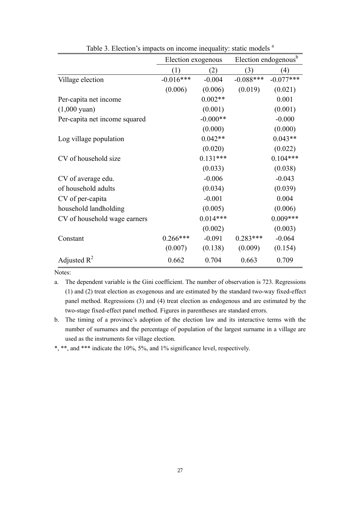|                               | Election exogenous |            | Election endogenous <sup>b</sup> |             |
|-------------------------------|--------------------|------------|----------------------------------|-------------|
|                               | (1)                | (2)        | (3)                              | (4)         |
| Village election              | $-0.016***$        | $-0.004$   | $-0.088***$                      | $-0.077***$ |
|                               | (0.006)            | (0.006)    | (0.019)                          | (0.021)     |
| Per-capita net income         |                    | $0.002**$  |                                  | 0.001       |
| $(1,000 \text{ yuan})$        |                    | (0.001)    |                                  | (0.001)     |
| Per-capita net income squared |                    | $-0.000**$ |                                  | $-0.000$    |
|                               |                    | (0.000)    |                                  | (0.000)     |
| Log village population        |                    | $0.042**$  |                                  | $0.043**$   |
|                               |                    | (0.020)    |                                  | (0.022)     |
| CV of household size          |                    | $0.131***$ |                                  | $0.104***$  |
|                               |                    | (0.033)    |                                  | (0.038)     |
| CV of average edu.            |                    | $-0.006$   |                                  | $-0.043$    |
| of household adults           |                    | (0.034)    |                                  | (0.039)     |
| CV of per-capita              |                    | $-0.001$   |                                  | 0.004       |
| household landholding         |                    | (0.005)    |                                  | (0.006)     |
| CV of household wage earners  |                    | $0.014***$ |                                  | $0.009***$  |
|                               |                    | (0.002)    |                                  | (0.003)     |
| Constant                      | $0.266***$         | $-0.091$   | $0.283***$                       | $-0.064$    |
|                               | (0.007)            | (0.138)    | (0.009)                          | (0.154)     |
| Adjusted $R^2$                | 0.662              | 0.704      | 0.663                            | 0.709       |

Table 3. Election's impacts on income inequality: static models <sup>a</sup>

Notes:

a. The dependent variable is the Gini coefficient. The number of observation is 723. Regressions (1) and (2) treat election as exogenous and are estimated by the standard two-way fixed-effect panel method. Regressions (3) and (4) treat election as endogenous and are estimated by the two-stage fixed-effect panel method. Figures in parentheses are standard errors.

b. The timing of a province's adoption of the election law and its interactive terms with the number of surnames and the percentage of population of the largest surname in a village are used as the instruments for village election.

\*, \*\*, and \*\*\* indicate the 10%, 5%, and 1% significance level, respectively.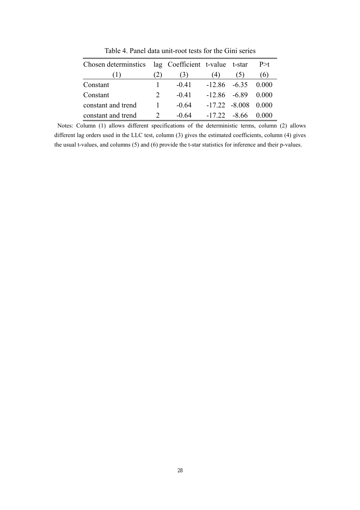| Chosen determinities lag Coefficient t-value t-star |                             |         |                 |                        | P > t |
|-----------------------------------------------------|-----------------------------|---------|-----------------|------------------------|-------|
|                                                     | 2)                          | (3)     | (4)             | (5)                    | (6)   |
| Constant                                            |                             | $-0.41$ |                 | $-12.86$ $-6.35$ 0.000 |       |
| Constant                                            | $\mathcal{D}_{\mathcal{L}}$ | $-0.41$ | $-12.86 - 6.89$ |                        | 0.000 |
| constant and trend                                  |                             | $-0.64$ |                 | $-17.22 - 8.008$ 0.000 |       |
| constant and trend                                  | $\mathcal{D}$               | $-0.64$ |                 | $-1722 - 866 0000$     |       |

Table 4. Panel data unit-root tests for the Gini series

 Notes: Column (1) allows different specifications of the deterministic terms, column (2) allows different lag orders used in the LLC test, column (3) gives the estimated coefficients, column (4) gives the usual t-values, and columns (5) and (6) provide the t-star statistics for inference and their p-values.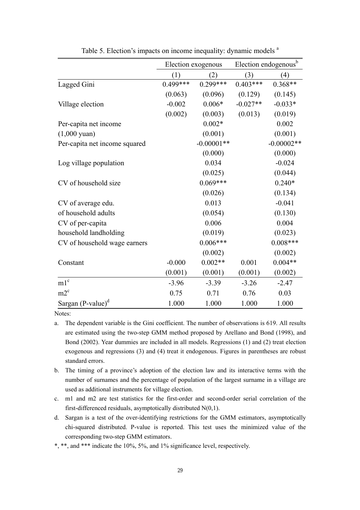|                               |            | Election exogenous |            | Election endogenous <sup>b</sup> |
|-------------------------------|------------|--------------------|------------|----------------------------------|
|                               | (1)        | (2)                | (3)        | (4)                              |
| Lagged Gini                   | $0.499***$ | $0.299***$         | $0.403***$ | $0.368**$                        |
|                               | (0.063)    | (0.096)            | (0.129)    | (0.145)                          |
| Village election              | $-0.002$   | $0.006*$           | $-0.027**$ | $-0.033*$                        |
|                               | (0.002)    | (0.003)            | (0.013)    | (0.019)                          |
| Per-capita net income         |            | $0.002*$           |            | 0.002                            |
| $(1,000 \text{ yuan})$        |            | (0.001)            |            | (0.001)                          |
| Per-capita net income squared |            | $-0.00001**$       |            | $-0.00002**$                     |
|                               |            | (0.000)            |            | (0.000)                          |
| Log village population        |            | 0.034              |            | $-0.024$                         |
|                               |            | (0.025)            |            | (0.044)                          |
| CV of household size          |            | $0.069***$         |            | $0.240*$                         |
|                               |            | (0.026)            |            | (0.134)                          |
| CV of average edu.            |            | 0.013              |            | $-0.041$                         |
| of household adults           |            | (0.054)            |            | (0.130)                          |
| CV of per-capita              |            | 0.006              |            | 0.004                            |
| household landholding         |            | (0.019)            |            | (0.023)                          |
| CV of household wage earners  |            | $0.006***$         |            | $0.008***$                       |
|                               |            | (0.002)            |            | (0.002)                          |
| Constant                      | $-0.000$   | $0.002**$          | 0.001      | $0.004**$                        |
|                               | (0.001)    | (0.001)            | (0.001)    | (0.002)                          |
| m1 <sup>c</sup>               | $-3.96$    | $-3.39$            | $-3.26$    | $-2.47$                          |
| $m2^c$                        | 0.75       | 0.71               | 0.76       | 0.03                             |
| Sargan $(P-value)^d$          | 1.000      | 1.000              | 1.000      | 1.000                            |

Table 5. Election's impacts on income inequality: dynamic models <sup>a</sup>

Notes:

- a. The dependent variable is the Gini coefficient. The number of observations is 619. All results are estimated using the two-step GMM method proposed by Arellano and Bond (1998), and Bond (2002). Year dummies are included in all models. Regressions (1) and (2) treat election exogenous and regressions (3) and (4) treat it endogenous. Figures in parentheses are robust standard errors.
- b. The timing of a province's adoption of the election law and its interactive terms with the number of surnames and the percentage of population of the largest surname in a village are used as additional instruments for village election.
- c. m1 and m2 are test statistics for the first-order and second-order serial correlation of the first-differenced residuals, asymptotically distributed N(0,1).
- d. Sargan is a test of the over-identifying restrictions for the GMM estimators, asymptotically chi-squared distributed. P-value is reported. This test uses the minimized value of the corresponding two-step GMM estimators.
- \*, \*\*, and \*\*\* indicate the 10%, 5%, and 1% significance level, respectively.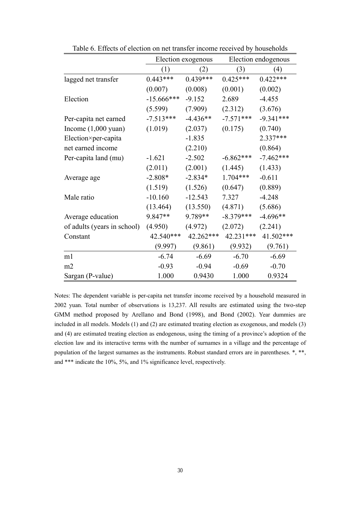|                             | Election exogenous |            |             | Election endogenous |
|-----------------------------|--------------------|------------|-------------|---------------------|
|                             | (1)                | (2)        | (3)         | (4)                 |
| lagged net transfer         | $0.443***$         | $0.439***$ | $0.425***$  | $0.422***$          |
|                             | (0.007)            | (0.008)    | (0.001)     | (0.002)             |
| Election                    | $-15.666$ ***      | $-9.152$   | 2.689       | $-4.455$            |
|                             | (5.599)            | (7.909)    | (2.312)     | (3.676)             |
| Per-capita net earned       | $-7.513***$        | $-4.436**$ | $-7.571***$ | $-9.341***$         |
| Income $(1,000$ yuan)       | (1.019)            | (2.037)    | (0.175)     | (0.740)             |
| Election×per-capita         |                    | $-1.835$   |             | 2.337***            |
| net earned income           |                    | (2.210)    |             | (0.864)             |
| Per-capita land (mu)        | $-1.621$           | $-2.502$   | $-6.862***$ | $-7.462***$         |
|                             | (2.011)            | (2.001)    | (1.445)     | (1.433)             |
| Average age                 | $-2.808*$          | $-2.834*$  | $1.704***$  | $-0.611$            |
|                             | (1.519)            | (1.526)    | (0.647)     | (0.889)             |
| Male ratio                  | $-10.160$          | $-12.543$  | 7.327       | $-4.248$            |
|                             | (13.464)           | (13.550)   | (4.871)     | (5.686)             |
| Average education           | 9.847**            | 9.789**    | $-8.379***$ | $-4.696**$          |
| of adults (years in school) | (4.950)            | (4.972)    | (2.072)     | (2.241)             |
| Constant                    | 42.540***          | 42.262***  | 42.231***   | 41.502***           |
|                             | (9.997)            | (9.861)    | (9.932)     | (9.761)             |
| m1                          | $-6.74$            | $-6.69$    | $-6.70$     | $-6.69$             |
| m2                          | $-0.93$            | $-0.94$    | $-0.69$     | $-0.70$             |
| Sargan (P-value)            | 1.000              | 0.9430     | 1.000       | 0.9324              |

Table 6. Effects of election on net transfer income received by households

Notes: The dependent variable is per-capita net transfer income received by a household measured in 2002 yuan. Total number of observations is 13,237. All results are estimated using the two-step GMM method proposed by Arellano and Bond (1998), and Bond (2002). Year dummies are included in all models. Models (1) and (2) are estimated treating election as exogenous, and models (3) and (4) are estimated treating election as endogenous, using the timing of a province's adoption of the election law and its interactive terms with the number of surnames in a village and the percentage of population of the largest surnames as the instruments. Robust standard errors are in parentheses. \*, \*\*, and \*\*\* indicate the 10%, 5%, and 1% significance level, respectively.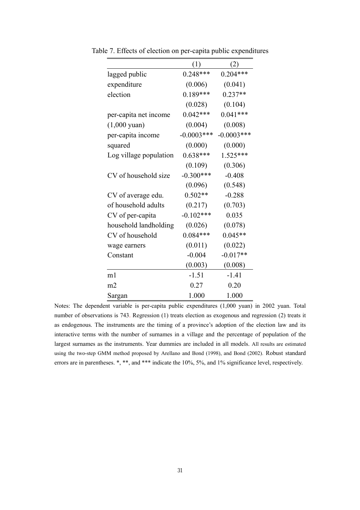|                        | (1)           | (2)           |
|------------------------|---------------|---------------|
| lagged public          | $0.248***$    | $0.204***$    |
| expenditure            | (0.006)       | (0.041)       |
| election               | $0.189***$    | $0.237**$     |
|                        | (0.028)       | (0.104)       |
| per-capita net income  | $0.042***$    | $0.041***$    |
| $(1,000 \text{ yuan})$ | (0.004)       | (0.008)       |
| per-capita income      | $-0.0003$ *** | $-0.0003$ *** |
| squared                | (0.000)       | (0.000)       |
| Log village population | $0.638***$    | $1.525***$    |
|                        | (0.109)       | (0.306)       |
| CV of household size   | $-0.300***$   | $-0.408$      |
|                        | (0.096)       | (0.548)       |
| CV of average edu.     | $0.502**$     | $-0.288$      |
| of household adults    | (0.217)       | (0.703)       |
| CV of per-capita       | $-0.102***$   | 0.035         |
| household landholding  | (0.026)       | (0.078)       |
| CV of household        | $0.084***$    | $0.045**$     |
| wage earners           | (0.011)       | (0.022)       |
| Constant               | $-0.004$      | $-0.017**$    |
|                        | (0.003)       | (0.008)       |
| m1                     | $-1.51$       | $-1.41$       |
| m <sub>2</sub>         | 0.27          | 0.20          |
| Sargan                 | 1.000         | 1.000         |

Table 7. Effects of election on per-capita public expenditures

Notes: The dependent variable is per-capita public expenditures (1,000 yuan) in 2002 yuan. Total number of observations is 743. Regression (1) treats election as exogenous and regression (2) treats it as endogenous. The instruments are the timing of a province's adoption of the election law and its interactive terms with the number of surnames in a village and the percentage of population of the largest surnames as the instruments. Year dummies are included in all models. All results are estimated using the two-step GMM method proposed by Arellano and Bond (1998), and Bond (2002). Robust standard errors are in parentheses. \*, \*\*, and \*\*\* indicate the 10%, 5%, and 1% significance level, respectively.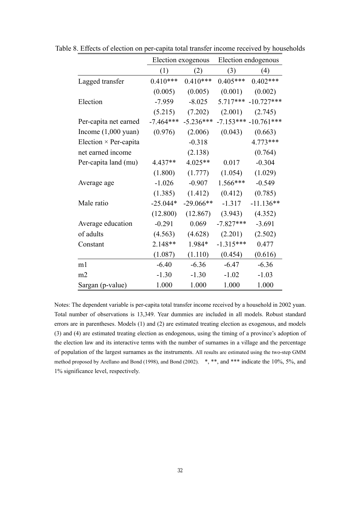|                               |             | Election exogenous |             | Election endogenous |  |  |
|-------------------------------|-------------|--------------------|-------------|---------------------|--|--|
|                               | (1)         | (2)                | (3)         | (4)                 |  |  |
| Lagged transfer               | $0.410***$  | $0.410***$         | $0.405***$  | $0.402***$          |  |  |
|                               | (0.005)     | (0.005)            | (0.001)     | (0.002)             |  |  |
| Election                      | $-7.959$    | $-8.025$           | $5.717***$  | $-10.727***$        |  |  |
|                               | (5.215)     | (7.202)            | (2.001)     | (2.745)             |  |  |
| Per-capita net earned         | $-7.464***$ | $-5.236***$        | $-7.153***$ | $-10.761***$        |  |  |
| Income $(1,000 \text{ yuan})$ | (0.976)     | (2.006)            | (0.043)     | (0.663)             |  |  |
| Election $\times$ Per-capita  |             | $-0.318$           |             | 4.773***            |  |  |
| net earned income             |             | (2.138)            |             | (0.764)             |  |  |
| Per-capita land (mu)          | 4.437**     | 4.025**            | 0.017       | $-0.304$            |  |  |
|                               | (1.800)     | (1.777)            | (1.054)     | (1.029)             |  |  |
| Average age                   | $-1.026$    | $-0.907$           | $1.566***$  | $-0.549$            |  |  |
|                               | (1.385)     | (1.412)            | (0.412)     | (0.785)             |  |  |
| Male ratio                    | $-25.044*$  | $-29.066**$        | $-1.317$    | $-11.136**$         |  |  |
|                               | (12.800)    | (12.867)           | (3.943)     | (4.352)             |  |  |
| Average education             | $-0.291$    | 0.069              | $-7.827***$ | $-3.691$            |  |  |
| of adults                     | (4.563)     | (4.628)            | (2.201)     | (2.502)             |  |  |
| Constant                      | 2.148**     | 1.984*             | $-1.315***$ | 0.477               |  |  |
|                               | (1.087)     | (1.110)            | (0.454)     | (0.616)             |  |  |
| m1                            | $-6.40$     | $-6.36$            | $-6.47$     | $-6.36$             |  |  |
| m2                            | $-1.30$     | $-1.30$            | $-1.02$     | $-1.03$             |  |  |
| Sargan (p-value)              | 1.000       | 1.000              | 1.000       | 1.000               |  |  |

Table 8. Effects of election on per-capita total transfer income received by households

Notes: The dependent variable is per-capita total transfer income received by a household in 2002 yuan. Total number of observations is 13,349. Year dummies are included in all models. Robust standard errors are in parentheses. Models (1) and (2) are estimated treating election as exogenous, and models (3) and (4) are estimated treating election as endogenous, using the timing of a province's adoption of the election law and its interactive terms with the number of surnames in a village and the percentage of population of the largest surnames as the instruments. All results are estimated using the two-step GMM method proposed by Arellano and Bond (1998), and Bond (2002).  $*, **$ , and  $***$  indicate the 10%, 5%, and 1% significance level, respectively.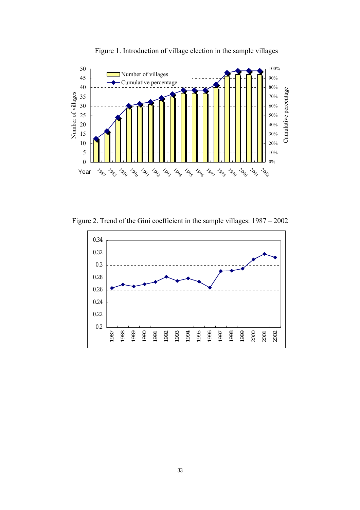

Figure 1. Introduction of village election in the sample villages

Figure 2. Trend of the Gini coefficient in the sample villages: 1987 – 2002